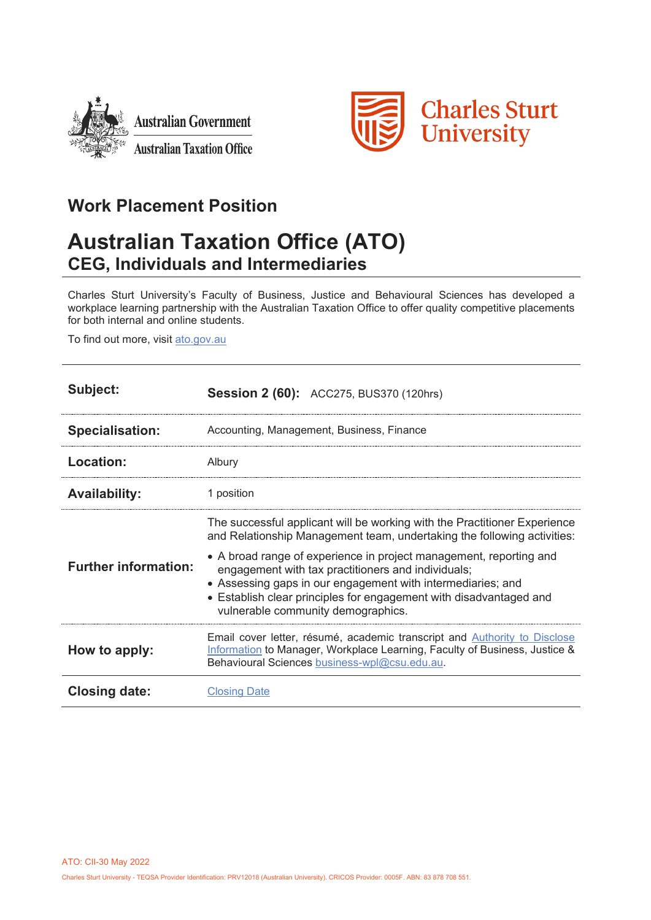



## **Work Placement Position**

# **Australian Taxation Office (ATO) CEG, Individuals and Intermediaries**

Charles Sturt University's Faculty of Business, Justice and Behavioural Sciences has developed a workplace learning partnership with the Australian Taxation Office to offer quality competitive placements for both internal and online students.

To find out more, visit [ato.gov.au](https://www.ato.gov.au/)

| Subject:                    | <b>Session 2 (60):</b> ACC275, BUS370 (120hrs)                                                                                                                                                                                                                                                                                                                                                                                                              |
|-----------------------------|-------------------------------------------------------------------------------------------------------------------------------------------------------------------------------------------------------------------------------------------------------------------------------------------------------------------------------------------------------------------------------------------------------------------------------------------------------------|
| <b>Specialisation:</b>      | Accounting, Management, Business, Finance                                                                                                                                                                                                                                                                                                                                                                                                                   |
| Location:                   | Albury                                                                                                                                                                                                                                                                                                                                                                                                                                                      |
| <b>Availability:</b>        | 1 position                                                                                                                                                                                                                                                                                                                                                                                                                                                  |
| <b>Further information:</b> | The successful applicant will be working with the Practitioner Experience<br>and Relationship Management team, undertaking the following activities:<br>• A broad range of experience in project management, reporting and<br>engagement with tax practitioners and individuals;<br>• Assessing gaps in our engagement with intermediaries; and<br>• Establish clear principles for engagement with disadvantaged and<br>vulnerable community demographics. |
| How to apply:               | Email cover letter, résumé, academic transcript and Authority to Disclose<br>Information to Manager, Workplace Learning, Faculty of Business, Justice &<br>Behavioural Sciences business-wpl@csu.edu.au.                                                                                                                                                                                                                                                    |
| Closing date:               | <b>Closing Date</b>                                                                                                                                                                                                                                                                                                                                                                                                                                         |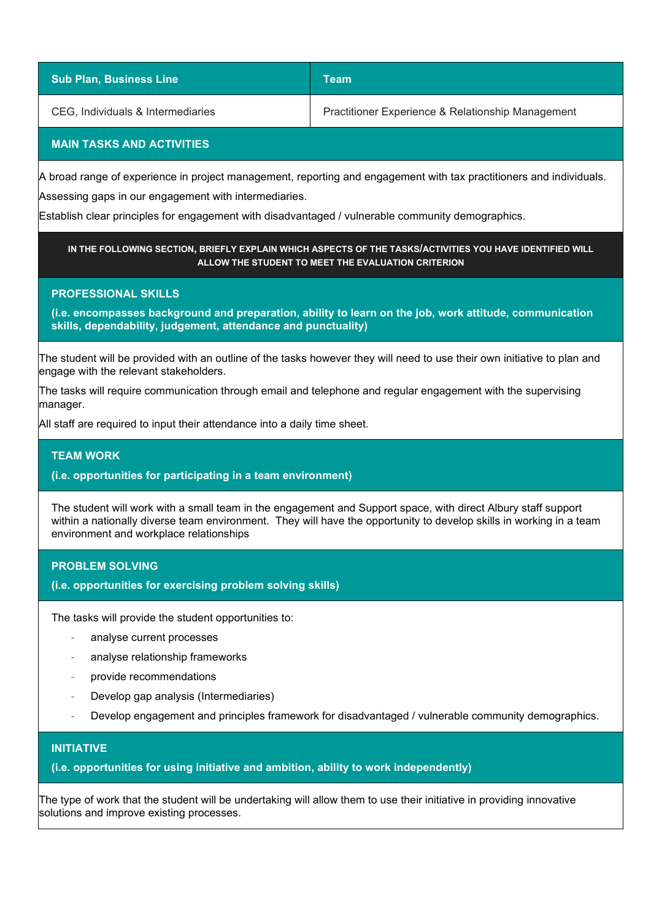| <b>Sub Plan, Business Line</b>    | Team                                              |
|-----------------------------------|---------------------------------------------------|
| CEG, Individuals & Intermediaries | Practitioner Experience & Relationship Management |

## **MAIN TASKS AND ACTIVITIES**

A broad range of experience in project management, reporting and engagement with tax practitioners and individuals.

Assessing gaps in our engagement with intermediaries.

Establish clear principles for engagement with disadvantaged / vulnerable community demographics.

## **IN THE FOLLOWING SECTION, BRIEFLY EXPLAIN WHICH ASPECTS OF THE TASKS/ACTIVITIES YOU HAVE IDENTIFIED WILL ALLOW THE STUDENT TO MEET THE EVALUATION CRITERION**

## **PROFESSIONAL SKILLS**

**(i.e. encompasses background and preparation, ability to learn on the job, work attitude, communication skills, dependability, judgement, attendance and punctuality)**

The student will be provided with an outline of the tasks however they will need to use their own initiative to plan and engage with the relevant stakeholders.

The tasks will require communication through email and telephone and regular engagement with the supervising manager.

All staff are required to input their attendance into a daily time sheet.

## **TEAM WORK**

## **(i.e. opportunities for participating in a team environment)**

The student will work with a small team in the engagement and Support space, with direct Albury staff support within a nationally diverse team environment. They will have the opportunity to develop skills in working in a team environment and workplace relationships

## **PROBLEM SOLVING**

**(i.e. opportunities for exercising problem solving skills)**

The tasks will provide the student opportunities to:

- analyse current processes
- analyse relationship frameworks
- provide recommendations
- Develop gap analysis (Intermediaries)
- Develop engagement and principles framework for disadvantaged / vulnerable community demographics.

## **INITIATIVE**

## **(i.e. opportunities for using initiative and ambition, ability to work independently)**

The type of work that the student will be undertaking will allow them to use their initiative in providing innovative solutions and improve existing processes.